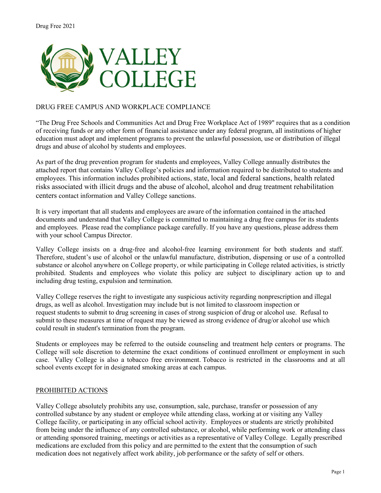

# DRUG FREE CAMPUS AND WORKPLACE COMPLIANCE

"The Drug Free Schools and Communities Act and Drug Free Workplace Act of 1989" requires that as a condition of receiving funds or any other form of financial assistance under any federal program, all institutions of higher education must adopt and implement programs to prevent the unlawful possession, use or distribution of illegal drugs and abuse of alcohol by students and employees.

As part of the drug prevention program for students and employees, Valley College annually distributes the attached report that contains Valley College's policies and information required to be distributed to students and employees. This information includes prohibited actions, state, local and federal sanctions, health related risks associated with illicit drugs and the abuse of alcohol, alcohol and drug treatment rehabilitation centers contact information and Valley College sanctions.

It is very important that all students and employees are aware of the information contained in the attached documents and understand that Valley College is committed to maintaining a drug free campus for its students and employees. Please read the compliance package carefully. If you have any questions, please address them with your school Campus Director.

Valley College insists on a drug-free and alcohol-free learning environment for both students and staff. Therefore, student's use of alcohol or the unlawful manufacture, distribution, dispensing or use of a controlled substance or alcohol anywhere on College property, or while participating in College related activities, is strictly prohibited. Students and employees who violate this policy are subject to disciplinary action up to and including drug testing, expulsion and termination.

Valley College reserves the right to investigate any suspicious activity regarding nonprescription and illegal drugs, as well as alcohol. Investigation may include but is not limited to classroom inspection or request students to submit to drug screening in cases of strong suspicion of drug or alcohol use. Refusal to submit to these measures at time of request may be viewed as strong evidence of drug/or alcohol use which could result in student's termination from the program.

Students or employees may be referred to the outside counseling and treatment help centers or programs. The College will sole discretion to determine the exact conditions of continued enrollment or employment in such case. Valley College is also a tobacco free environment. Tobacco is restricted in the classrooms and at all school events except for in designated smoking areas at each campus.

### PROHIBITED ACTIONS

Valley College absolutely prohibits any use, consumption, sale, purchase, transfer or possession of any controlled substance by any student or employee while attending class, working at or visiting any Valley College facility, or participating in any official school activity. Employees or students are strictly prohibited from being under the influence of any controlled substance, or alcohol, while performing work or attending class or attending sponsored training, meetings or activities as a representative of Valley College. Legally prescribed medications are excluded from this policy and are permitted to the extent that the consumption of such medication does not negatively affect work ability, job performance or the safety of self or others.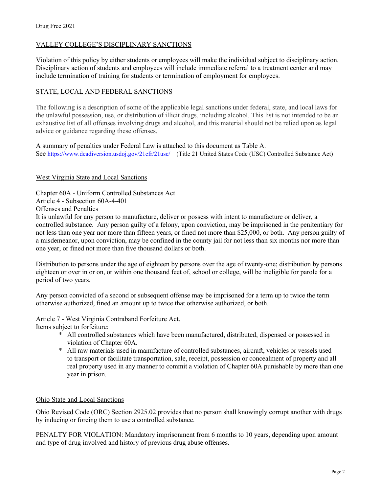# VALLEY COLLEGE'S DISCIPLINARY SANCTIONS

Violation of this policy by either students or employees will make the individual subject to disciplinary action. Disciplinary action of students and employees will include immediate referral to a treatment center and may include termination of training for students or termination of employment for employees.

# STATE, LOCAL AND FEDERAL SANCTIONS

The following is a description of some of the applicable legal sanctions under federal, state, and local laws for the unlawful possession, use, or distribution of illicit drugs, including alcohol. This list is not intended to be an exhaustive list of all offenses involving drugs and alcohol, and this material should not be relied upon as legal advice or guidance regarding these offenses.

A summary of penalties under Federal Law is attached to this document as Table A. See<https://www.deadiversion.usdoj.gov/21cfr/21usc/>(Title 21 United States Code (USC) Controlled Substance Act)

### West Virginia State and Local Sanctions

Chapter 60A - Uniform Controlled Substances Act Article 4 - Subsection 60A-4-401 Offenses and Penalties

It is unlawful for any person to manufacture, deliver or possess with intent to manufacture or deliver, a controlled substance. Any person guilty of a felony, upon conviction, may be imprisoned in the penitentiary for not less than one year nor more than fifteen years, or fined not more than \$25,000, or both. Any person guilty of a misdemeanor, upon conviction, may be confined in the county jail for not less than six months nor more than one year, or fined not more than five thousand dollars or both.

Distribution to persons under the age of eighteen by persons over the age of twenty-one; distribution by persons eighteen or over in or on, or within one thousand feet of, school or college, will be ineligible for parole for a period of two years.

Any person convicted of a second or subsequent offense may be imprisoned for a term up to twice the term otherwise authorized, fined an amount up to twice that otherwise authorized, or both.

Article 7 - West Virginia Contraband Forfeiture Act.

Items subject to forfeiture:

- \* All controlled substances which have been manufactured, distributed, dispensed or possessed in violation of Chapter 60A.
- \* All raw materials used in manufacture of controlled substances, aircraft, vehicles or vessels used to transport or facilitate transportation, sale, receipt, possession or concealment of property and all real property used in any manner to commit a violation of Chapter 60A punishable by more than one year in prison.

### Ohio State and Local Sanctions

Ohio Revised Code (ORC) Section 2925.02 provides that no person shall knowingly corrupt another with drugs by inducing or forcing them to use a controlled substance.

PENALTY FOR VIOLATION: Mandatory imprisonment from 6 months to 10 years, depending upon amount and type of drug involved and history of previous drug abuse offenses.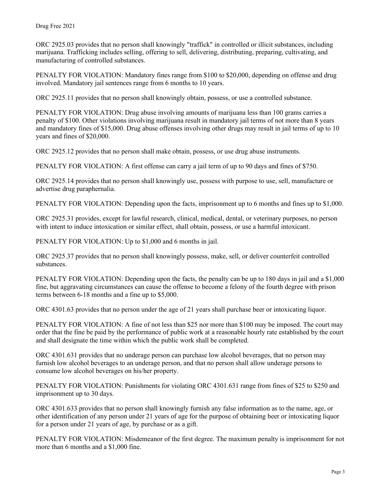ORC 2925.03 provides that no person shall knowingly "traffick" in controlled or illicit substances, including marijuana. Trafficking includes selling, offering to sell, delivering, distributing, preparing, cultivating, and manufacturing of controlled substances.

PENALTY FOR VIOLATION: Mandatory fines range from \$100 to \$20,000, depending on offense and drug involved. Mandatory jail sentences range from 6 months to 10 years.

ORC 2925.11 provides that no person shall knowingly obtain, possess, or use a controlled substance.

PENALTY FOR VIOLATION: Drug abuse involving amounts of marijuana less than 100 grams carries a penalty of \$100. Other violations involving marijuana result in mandatory jail terms of not more than 8 years and mandatory fines of \$15,000. Drug abuse offenses involving other drugs may result in jail terms of up to 10 years and fines of \$20,000.

ORC 2925.12 provides that no person shall make obtain, possess, or use drug abuse instruments.

PENALTY FOR VIOLATION: A first offense can carry a jail term of up to 90 days and fines of \$750.

ORC 2925.14 provides that no person shall knowingly use, possess with purpose to use, sell, manufacture or advertise drug paraphernalia.

PENALTY FOR VIOLATION: Depending upon the facts, imprisonment up to 6 months and fines up to \$1,000.

ORC 2925.31 provides, except for lawful research, clinical, medical, dental, or veterinary purposes, no person with intent to induce intoxication or similar effect, shall obtain, possess, or use a harmful intoxicant.

PENALTY FOR VIOLATION: Up to \$1,000 and 6 months in jail.

ORC 2925.37 provides that no person shall knowingly possess, make, sell, or deliver counterfeit controlled substances.

PENALTY FOR VIOLATION: Depending upon the facts, the penalty can be up to 180 days in jail and a \$1,000 fine, but aggravating circumstances can cause the offense to become a felony of the fourth degree with prison terms between 6-18 months and a fine up to \$5,000.

ORC 4301.63 provides that no person under the age of 21 years shall purchase beer or intoxicating liquor.

PENALTY FOR VIOLATION: A fine of not less than \$25 nor more than \$100 may be imposed. The court may order that the fine be paid by the performance of public work at a reasonable hourly rate established by the court and shall designate the time within which the public work shall be completed.

ORC 4301.631 provides that no underage person can purchase low alcohol beverages, that no person may furnish low alcohol beverages to an underage person, and that no person shall allow underage persons to consume low alcohol beverages on his/her property.

PENALTY FOR VIOLATION: Punishments for violating ORC 4301.631 range from fines of \$25 to \$250 and imprisonment up to 30 days.

ORC 4301.633 provides that no person shall knowingly furnish any false information as to the name, age, or other identification of any person under 21 years of age for the purpose of obtaining beer or intoxicating liquor for a person under 21 years of age, by purchase or as a gift.

PENALTY FOR VIOLATION: Misdemeanor of the first degree. The maximum penalty is imprisonment for not more than 6 months and a \$1,000 fine.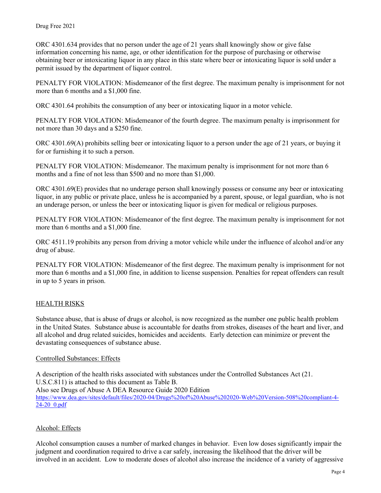ORC 4301.634 provides that no person under the age of 21 years shall knowingly show or give false information concerning his name, age, or other identification for the purpose of purchasing or otherwise obtaining beer or intoxicating liquor in any place in this state where beer or intoxicating liquor is sold under a permit issued by the department of liquor control.

PENALTY FOR VIOLATION: Misdemeanor of the first degree. The maximum penalty is imprisonment for not more than 6 months and a \$1,000 fine.

ORC 4301.64 prohibits the consumption of any beer or intoxicating liquor in a motor vehicle.

PENALTY FOR VIOLATION: Misdemeanor of the fourth degree. The maximum penalty is imprisonment for not more than 30 days and a \$250 fine.

ORC 4301.69(A) prohibits selling beer or intoxicating liquor to a person under the age of 21 years, or buying it for or furnishing it to such a person.

PENALTY FOR VIOLATION: Misdemeanor. The maximum penalty is imprisonment for not more than 6 months and a fine of not less than \$500 and no more than \$1,000.

ORC 4301.69(E) provides that no underage person shall knowingly possess or consume any beer or intoxicating liquor, in any public or private place, unless he is accompanied by a parent, spouse, or legal guardian, who is not an underage person, or unless the beer or intoxicating liquor is given for medical or religious purposes.

PENALTY FOR VIOLATION: Misdemeanor of the first degree. The maximum penalty is imprisonment for not more than 6 months and a \$1,000 fine.

ORC 4511.19 prohibits any person from driving a motor vehicle while under the influence of alcohol and/or any drug of abuse.

PENALTY FOR VIOLATION: Misdemeanor of the first degree. The maximum penalty is imprisonment for not more than 6 months and a \$1,000 fine, in addition to license suspension. Penalties for repeat offenders can result in up to 5 years in prison.

# HEALTH RISKS

Substance abuse, that is abuse of drugs or alcohol, is now recognized as the number one public health problem in the United States. Substance abuse is accountable for deaths from strokes, diseases of the heart and liver, and all alcohol and drug related suicides, homicides and accidents. Early detection can minimize or prevent the devastating consequences of substance abuse.

# Controlled Substances: Effects

A description of the health risks associated with substances under the Controlled Substances Act (21. U.S.C.811) is attached to this document as Table B. Also see Drugs of Abuse A DEA Resource Guide 2020 Edition [https://www.dea.gov/sites/default/files/2020-04/Drugs%20of%20Abuse%202020-Web%20Version-508%20compliant-4-](https://www.dea.gov/sites/default/files/2020-04/Drugs%20of%20Abuse%202020-Web%20Version-508%20compliant-4-24-20_0.pdf) [24-20\\_0.pdf](https://www.dea.gov/sites/default/files/2020-04/Drugs%20of%20Abuse%202020-Web%20Version-508%20compliant-4-24-20_0.pdf)

# Alcohol: Effects

Alcohol consumption causes a number of marked changes in behavior. Even low doses significantly impair the judgment and coordination required to drive a car safely, increasing the likelihood that the driver will be involved in an accident. Low to moderate doses of alcohol also increase the incidence of a variety of aggressive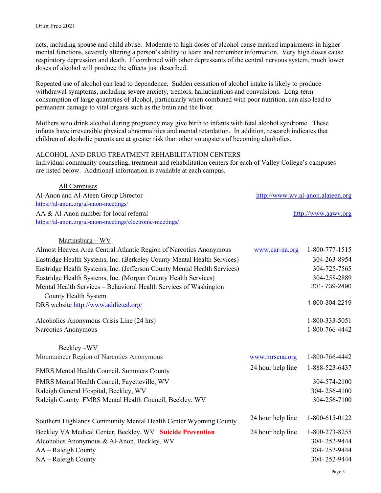acts, including spouse and child abuse. Moderate to high doses of alcohol cause marked impairments in higher mental functions, severely altering a person's ability to learn and remember information. Very high doses cause respiratory depression and death. If combined with other depressants of the central nervous system, much lower doses of alcohol will produce the effects just described.

Repeated use of alcohol can lead to dependence. Sudden cessation of alcohol intake is likely to produce withdrawal symptoms, including severe anxiety, tremors, hallucinations and convulsions. Long-term consumption of large quantities of alcohol, particularly when combined with poor nutrition, can also lead to permanent damage to vital organs such as the brain and the liver.

Mothers who drink alcohol during pregnancy may give birth to infants with fetal alcohol syndrome. These infants have irreversible physical abnormalities and mental retardation. In addition, research indicates that children of alcoholic parents are at greater risk than other youngsters of becoming alcoholics.

#### ALCOHOL AND DRUG TREATMENT REHABILITATION CENTERS

Individual community counseling, treatment and rehabilitation centers for each of Valley College's campuses are listed below. Additional information is available at each campus.

| All Campuses                                              |                                   |
|-----------------------------------------------------------|-----------------------------------|
| Al-Anon and Al-Ateen Group Director                       | http://www.wv.al-anon.alateen.org |
| https://al-anon.org/al-anon-meetings/                     |                                   |
| AA & Al-Anon number for local referral                    | http://www.aawv.org               |
| https://al-anon.org/al-anon-meetings/electronic-meetings/ |                                   |
|                                                           |                                   |

# Martinsburg – WV

| Almost Heaven Area Central Atlantic Region of Narcotics Anonymous        | www.car-na.org    | 1-800-777-1515 |
|--------------------------------------------------------------------------|-------------------|----------------|
| Eastridge Health Systems, Inc. (Berkeley County Mental Health Services)  |                   | 304-263-8954   |
| Eastridge Health Systems, Inc. (Jefferson County Mental Health Services) |                   | 304-725-7565   |
| Eastridge Health Systems, Inc. (Morgan County Health Services)           |                   | 304-258-2889   |
| Mental Health Services - Behavioral Health Services of Washington        |                   | 301-739-2490   |
| County Health System                                                     |                   |                |
| DRS website http://www.addicted.org/                                     |                   | 1-800-304-2219 |
| Alcoholics Anonymous Crisis Line (24 hrs)                                |                   | 1-800-333-5051 |
| Narcotics Anonymous                                                      |                   | 1-800-766-4442 |
| Beckley-WV                                                               |                   |                |
| Mountaineer Region of Narcotics Anonymous                                | www.mrscna.org    | 1-800-766-4442 |
| FMRS Mental Health Council. Summers County                               | 24 hour help line | 1-888-523-6437 |
| FMRS Mental Health Council, Fayetteville, WV                             |                   | 304-574-2100   |
| Raleigh General Hospital, Beckley, WV                                    |                   | 304-256-4100   |
| Raleigh County FMRS Mental Health Council, Beckley, WV                   |                   | 304-256-7100   |
| Southern Highlands Community Mental Health Center Wyoming County         | 24 hour help line | 1-800-615-0122 |
| Beckley VA Medical Center, Beckley, WV Suicide Prevention                | 24 hour help line | 1-800-273-8255 |
| Alcoholics Anonymous & Al-Anon, Beckley, WV                              |                   | 304-252-9444   |
| AA – Raleigh County                                                      |                   | 304-252-9444   |
| NA – Raleigh County                                                      |                   | 304-252-9444   |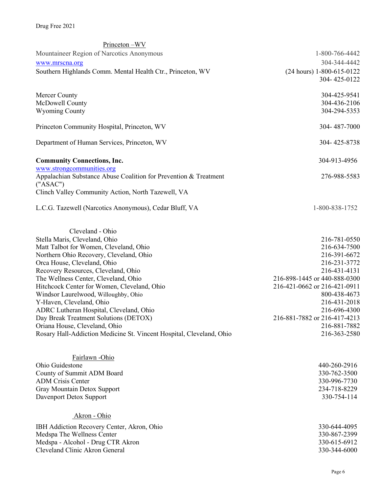# Drug Free 2021

| Princeton-WV                                                         |                              |
|----------------------------------------------------------------------|------------------------------|
| Mountaineer Region of Narcotics Anonymous                            | 1-800-766-4442               |
| www.mrscna.org                                                       | 304-344-4442                 |
| Southern Highlands Comm. Mental Health Ctr., Princeton, WV           | $(24 hours)$ 1-800-615-0122  |
|                                                                      | 304-425-0122                 |
|                                                                      |                              |
| Mercer County                                                        | 304-425-9541                 |
| McDowell County                                                      | 304-436-2106                 |
| <b>Wyoming County</b>                                                | 304-294-5353                 |
|                                                                      |                              |
| Princeton Community Hospital, Princeton, WV                          | 304-487-7000                 |
|                                                                      |                              |
| Department of Human Services, Princeton, WV                          | 304-425-8738                 |
|                                                                      |                              |
| <b>Community Connections, Inc.</b>                                   | 304-913-4956                 |
| www.strongcommunities.org                                            |                              |
| Appalachian Substance Abuse Coalition for Prevention & Treatment     | 276-988-5583                 |
| ("ASAC")                                                             |                              |
| Clinch Valley Community Action, North Tazewell, VA                   |                              |
| L.C.G. Tazewell (Narcotics Anonymous), Cedar Bluff, VA               | 1-800-838-1752               |
|                                                                      |                              |
|                                                                      |                              |
| Cleveland - Ohio                                                     |                              |
| Stella Maris, Cleveland, Ohio                                        | 216-781-0550                 |
| Matt Talbot for Women, Cleveland, Ohio                               | 216-634-7500                 |
| Northern Ohio Recovery, Cleveland, Ohio                              | 216-391-6672                 |
| Orca House, Cleveland, Ohio                                          | 216-231-3772                 |
| Recovery Resources, Cleveland, Ohio                                  | 216-431-4131                 |
| The Wellness Center, Cleveland, Ohio                                 | 216-898-1445 or 440-888-0300 |
| Hitchcock Center for Women, Cleveland, Ohio                          | 216-421-0662 or 216-421-0911 |
| Windsor Laurelwood, Willoughby, Ohio                                 | 800-438-4673                 |
| Y-Haven, Cleveland, Ohio                                             | 216-431-2018                 |
| ADRC Lutheran Hospital, Cleveland, Ohio                              | 216-696-4300                 |
| Day Break Treatment Solutions (DETOX)                                | 216-881-7882 or 216-417-4213 |
| Oriana House, Cleveland, Ohio                                        | 216-881-7882                 |
| Rosary Hall-Addiction Medicine St. Vincent Hospital, Cleveland, Ohio | 216-363-2580                 |
|                                                                      |                              |
|                                                                      |                              |
| Fairlawn -Ohio                                                       |                              |
| Ohio Guidestone                                                      | 440-260-2916                 |
| County of Summit ADM Board                                           | 330-762-3500                 |
| <b>ADM Crisis Center</b>                                             | 330-996-7730                 |
| Gray Mountain Detox Support                                          | 234-718-8229                 |
| Davenport Detox Support                                              | 330-754-114                  |
|                                                                      |                              |
| Akron - Ohio                                                         |                              |
| IBH Addiction Recovery Center, Akron, Ohio                           | 330-644-4095                 |
| Medspa The Wellness Center                                           | 330-867-2399                 |
| Medspa - Alcohol - Drug CTR Akron                                    | 330-615-6912                 |
| Cleveland Clinic Akron General                                       | 330-344-6000                 |
|                                                                      |                              |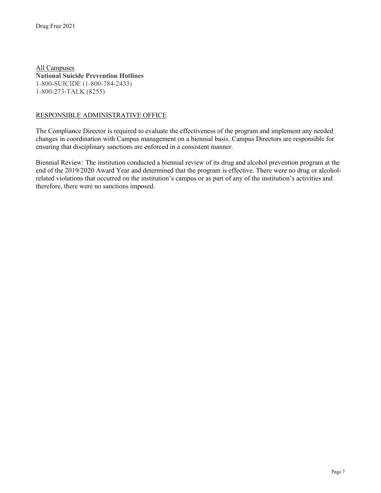All Campuses **National Suicide Prevention Hotlines** 1-800-SUICIDE (1-800-784-2433) 1-800-273-TALK (8255)

### RESPONSIBLE ADMINISTRATIVE OFFICE

The Compliance Director is required to evaluate the effectiveness of the program and implement any needed changes in coordination with Campus management on a biennial basis. Campus Directors are responsible for ensuring that disciplinary sanctions are enforced in a consistent manner.

Biennial Review: The institution conducted a biennial review of its drug and alcohol prevention program at the end of the 2019/2020 Award Year and determined that the program is effective. There were no drug or alcoholrelated violations that occurred on the institution's campus or as part of any of the institution's activities and therefore, there were no sanctions imposed.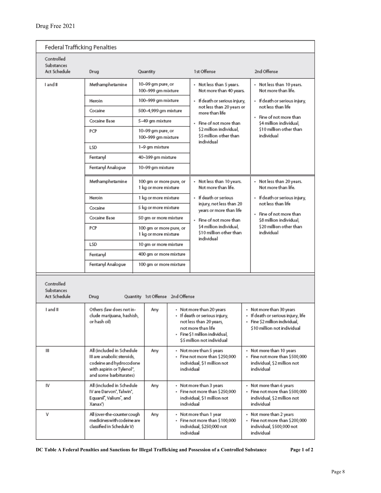| Federal Trafficking Penalties            |                                                                                                                                           |                                                                          |                                                                                                     |                                                                                                                                                                            |                                                                                                                                 |  |  |  |
|------------------------------------------|-------------------------------------------------------------------------------------------------------------------------------------------|--------------------------------------------------------------------------|-----------------------------------------------------------------------------------------------------|----------------------------------------------------------------------------------------------------------------------------------------------------------------------------|---------------------------------------------------------------------------------------------------------------------------------|--|--|--|
| Controlled<br>Substances<br>Act Schedule | Drug                                                                                                                                      | Quantity                                                                 |                                                                                                     | 1st Offense                                                                                                                                                                | 2nd Offense                                                                                                                     |  |  |  |
| I and II                                 | Methamphetamine                                                                                                                           | 10–99 gm pure, or<br>100-999 gm mixture                                  |                                                                                                     | • Not less than 5 years.<br>Not more than 40 years.                                                                                                                        | • Not less than 10 years.<br>Not more than life.                                                                                |  |  |  |
|                                          | Heroin                                                                                                                                    | 100-999 gm mixture                                                       |                                                                                                     | • If death or serious injury,                                                                                                                                              | • If death or serious injury,                                                                                                   |  |  |  |
|                                          | Cocaine                                                                                                                                   | 500-4,999 gm mixture                                                     |                                                                                                     | not less than 20 years or<br>more than life                                                                                                                                | not less than life                                                                                                              |  |  |  |
|                                          | Cocaine Base                                                                                                                              | 5-49 gm mixture                                                          |                                                                                                     | · Fine of not more than                                                                                                                                                    | • Fine of not more than<br>\$4 million individual.                                                                              |  |  |  |
|                                          | PCP                                                                                                                                       | 10-99 gm pure, or<br>100-999 gm mixture                                  |                                                                                                     | \$2 million individual.<br>\$5 million other than<br>individual                                                                                                            | \$10 million other than<br>individual                                                                                           |  |  |  |
|                                          | LSD                                                                                                                                       | 1–9 gm mixture                                                           |                                                                                                     |                                                                                                                                                                            |                                                                                                                                 |  |  |  |
|                                          | Fentanyl                                                                                                                                  | 40–399 gm mixture                                                        |                                                                                                     |                                                                                                                                                                            |                                                                                                                                 |  |  |  |
|                                          | Fentanyl Analogue                                                                                                                         | 10-99 gm mixture                                                         |                                                                                                     |                                                                                                                                                                            |                                                                                                                                 |  |  |  |
|                                          | Methamphetamine                                                                                                                           | 100 gm or more pure, or<br>1 kg or more mixture                          |                                                                                                     | • Not less than 10 years.<br>Not more than life.                                                                                                                           | • Not less than 20 years.<br>Not more than life.                                                                                |  |  |  |
|                                          | Heroin                                                                                                                                    | 1 kg or more mixture                                                     |                                                                                                     | • If death or serious                                                                                                                                                      | • If death or serious injury,                                                                                                   |  |  |  |
|                                          | Cocaine                                                                                                                                   | 5 kg or more mixture                                                     |                                                                                                     | injury, not less than 20<br>years or more than life                                                                                                                        | not less than life                                                                                                              |  |  |  |
|                                          | Cocaine Base                                                                                                                              | 50 gm or more mixture<br>100 gm or more pure, or<br>1 kg or more mixture |                                                                                                     | • Fine of not more than<br>\$4 million individual.<br>\$10 million other than<br>individual                                                                                | • Fine of not more than<br>\$8 million individual.                                                                              |  |  |  |
|                                          | PCP                                                                                                                                       |                                                                          |                                                                                                     |                                                                                                                                                                            | \$20 million other than<br>individual                                                                                           |  |  |  |
|                                          | LSD                                                                                                                                       | 10 gm or more mixture                                                    |                                                                                                     |                                                                                                                                                                            |                                                                                                                                 |  |  |  |
|                                          | Fentanyl                                                                                                                                  | 400 gm or more mixture                                                   |                                                                                                     |                                                                                                                                                                            |                                                                                                                                 |  |  |  |
|                                          | Fentanyl Analogue                                                                                                                         | 100 gm or more mixture                                                   |                                                                                                     |                                                                                                                                                                            |                                                                                                                                 |  |  |  |
| Controlled<br>Substances<br>Act Schedule | Drug                                                                                                                                      | Quantity 1st Offense 2nd Offense                                         |                                                                                                     |                                                                                                                                                                            |                                                                                                                                 |  |  |  |
| I and II                                 | Others (law does not in-<br>clude marijuana, hashish,<br>or hash oil)                                                                     | Any                                                                      |                                                                                                     | • Not more than 20 years<br>• If death or serious injury,<br>not less than 20 years,<br>not more than life<br>· Fine \$1 million individual.<br>\$5 million not individual | • Not more than 30 years<br>· If death or serious injury, life<br>· Fine \$2 million individual,<br>\$10 million not individual |  |  |  |
| Ш                                        | All (included in Schedule<br>III are anabolic steroids,<br>codeine and hydrocodone<br>with aspirin or Tylenol",<br>and some barbiturates) | Any                                                                      |                                                                                                     | • Not more than 5 years<br>· Fine not more than \$250,000<br>individual, \$1 million not<br>individual                                                                     | · Not more than 10 years<br>· Fine not more than \$500,000<br>individual, \$2 million not<br>individual                         |  |  |  |
| IV                                       | All (included in Schedule<br>IV are Darvon", Talwin",<br>Equanil, Valium, and<br>Xanax')                                                  | Any                                                                      |                                                                                                     | • Not more than 3 years<br>← Fine not more than \$250,000<br>individual, \$1 million not<br>individual                                                                     | • Not more than 6 years<br>· Fine not more than \$500,000<br>individual, \$2 million not<br>individual                          |  |  |  |
| v                                        | All (over-the-counter cough<br>medicines with codeine are<br>classified in Schedule V)                                                    | Any                                                                      | • Not more than 1 year<br>· Fine not more than \$100,000<br>individual, \$250,000 not<br>individual |                                                                                                                                                                            | • Not more than 2 years<br>· Fine not more than \$200,000<br>individual, \$500,000 not<br>individual                            |  |  |  |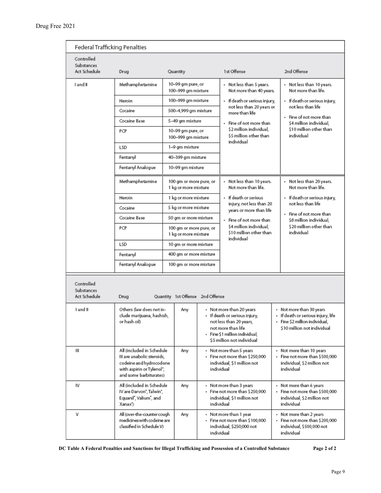| Federal Trafficking Penalties                        |                                                                                                                                           |                                                 |                                                                                                     |                                                                                                        |                                                                                                        |  |  |  |
|------------------------------------------------------|-------------------------------------------------------------------------------------------------------------------------------------------|-------------------------------------------------|-----------------------------------------------------------------------------------------------------|--------------------------------------------------------------------------------------------------------|--------------------------------------------------------------------------------------------------------|--|--|--|
| Controlled<br>Substances<br>Act Schedule             | Drug                                                                                                                                      | Quantity                                        |                                                                                                     | 1st Offense                                                                                            | 2nd Offense                                                                                            |  |  |  |
| I and II                                             | Methamphetamine                                                                                                                           | 10–99 gm pure, or<br>100-999 gm mixture         |                                                                                                     | • Not less than 5 years.<br>Not more than 40 years.                                                    | • Not less than 10 years.<br>Not more than life.                                                       |  |  |  |
|                                                      | Heroin                                                                                                                                    | 100-999 gm mixture                              |                                                                                                     | • If death or serious injury,                                                                          | · If death or serious injury,                                                                          |  |  |  |
|                                                      | Cocaine                                                                                                                                   | 500-4,999 gm mixture                            |                                                                                                     | not less than 20 years or<br>more than life                                                            | not less than life                                                                                     |  |  |  |
|                                                      | Cocaine Base                                                                                                                              | 5-49 gm mixture                                 |                                                                                                     | • Fine of not more than                                                                                | • Fine of not more than<br>\$4 million individual.                                                     |  |  |  |
|                                                      | PCP                                                                                                                                       | 10-99 gm pure, or<br>100-999 gm mixture         |                                                                                                     | \$2 million individual.<br>\$5 million other than<br>individual                                        | \$10 million other than<br>individual                                                                  |  |  |  |
|                                                      | LSD                                                                                                                                       | 1-9 gm mixture                                  |                                                                                                     |                                                                                                        |                                                                                                        |  |  |  |
|                                                      | Fentanyl                                                                                                                                  | 40-399 gm mixture                               |                                                                                                     |                                                                                                        |                                                                                                        |  |  |  |
|                                                      | Fentanyl Analogue                                                                                                                         | 10–99 gm mixture                                |                                                                                                     |                                                                                                        |                                                                                                        |  |  |  |
|                                                      | Methamphetamine                                                                                                                           | 100 gm or more pure, or<br>1 kg or more mixture |                                                                                                     | • Not less than 10 years.<br>Not more than life.                                                       | • Not less than 20 years.<br>Not more than life.                                                       |  |  |  |
|                                                      | Heroin                                                                                                                                    | 1 kg or more mixture                            |                                                                                                     | . If death or serious                                                                                  | • If death or serious injury,                                                                          |  |  |  |
|                                                      | Cocaine                                                                                                                                   | 5 kg or more mixture                            |                                                                                                     | injury, not less than 20<br>years or more than life                                                    | not less than life                                                                                     |  |  |  |
|                                                      | Cocaine Base                                                                                                                              | 50 gm or more mixture                           |                                                                                                     | • Fine of not more than<br>\$4 million individual.<br>\$10 million other than<br>individual            | • Fine of not more than<br>\$8 million individual.                                                     |  |  |  |
|                                                      | PCP                                                                                                                                       | 100 gm or more pure, or<br>1 kg or more mixture |                                                                                                     |                                                                                                        | \$20 million other than<br>individual                                                                  |  |  |  |
|                                                      | LSD                                                                                                                                       | 10 gm or more mixture                           |                                                                                                     |                                                                                                        |                                                                                                        |  |  |  |
|                                                      | Fentanyl                                                                                                                                  | 400 gm or more mixture                          |                                                                                                     |                                                                                                        |                                                                                                        |  |  |  |
|                                                      | Fentanyl Analogue                                                                                                                         | 100 gm or more mixture                          |                                                                                                     |                                                                                                        |                                                                                                        |  |  |  |
| Controlled<br>Substances<br>Act Schedule<br>I and II | Drug<br>Others (law does not in-<br>clude marijuana, hashish,<br>or hash oil)                                                             | Quantity 1st Offense 2nd Offense<br>Any         |                                                                                                     | • Not more than 20 years<br>• If death or serious injury,<br>not less than 20 years,                   | • Not more than 30 years<br>• If death or serious injury, life<br>· Fine \$2 million individual,       |  |  |  |
|                                                      |                                                                                                                                           |                                                 |                                                                                                     | not more than life<br>· Fine \$1 million individual,<br>\$5 million not individual                     | \$10 million not individual                                                                            |  |  |  |
| Ш                                                    | All (included in Schedule<br>III are anabolic steroids,<br>codeine and hydrocodone<br>with aspirin or Tylenol",<br>and some barbiturates) | Any                                             |                                                                                                     | • Not more than 5 years<br>· Fine not more than \$250,000<br>individual, \$1 million not<br>individual | • Not more than 10 years<br>Fine not more than \$500,000<br>individual, \$2 million not<br>individual  |  |  |  |
| IV                                                   | All (included in Schedule<br>IV are Darvon", Talwin",<br>Equanil", Valium", and<br>Xanax')                                                | Any                                             |                                                                                                     | • Not more than 3 years<br>· Fine not more than \$250,000<br>individual, \$1 million not<br>individual | • Not more than 6 years<br>· Fine not more than \$500,000<br>individual, \$2 million not<br>individual |  |  |  |
| ٧                                                    | All (over-the-counter cough<br>medicines with codeine are<br>classified in Schedule V)                                                    | Any                                             | • Not more than 1 year<br>· Fine not more than \$100,000<br>individual, \$250,000 not<br>individual |                                                                                                        | • Not more than 2 years<br>- Fine not more than \$200,000<br>individual, \$500,000 not<br>individual   |  |  |  |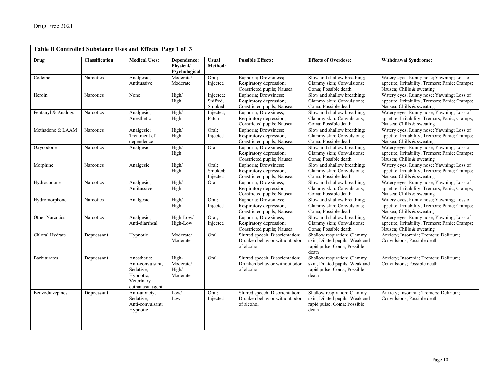| Table B Controlled Substance Uses and Effects Page 1 of 3 |                       |                                                                                             |                                           |                                 |                                                                                |                                                                                                       |                                                                                                                           |  |
|-----------------------------------------------------------|-----------------------|---------------------------------------------------------------------------------------------|-------------------------------------------|---------------------------------|--------------------------------------------------------------------------------|-------------------------------------------------------------------------------------------------------|---------------------------------------------------------------------------------------------------------------------------|--|
| Drug                                                      | <b>Classification</b> | <b>Medical Uses:</b>                                                                        | Dependence:<br>Physical/<br>Psychological | <b>Usual</b><br>Method:         | <b>Possible Effects:</b>                                                       | <b>Effects of Overdose:</b>                                                                           | <b>Withdrawal Syndrome:</b>                                                                                               |  |
| Codeine                                                   | Narcotics             | Analgesic;<br>Antitussive                                                                   | Moderate/<br>Moderate                     | Oral:<br>Injected               | Euphoria; Drowsiness;<br>Respiratory depression;<br>Constricted pupils; Nausea | Slow and shallow breathing;<br>Clammy skin; Convulsions;<br>Coma; Possible death                      | Watery eyes; Runny nose; Yawning; Loss of<br>appetite; Irritability; Tremors; Panic; Cramps;<br>Nausea; Chills & sweating |  |
| Heroin                                                    | <b>Narcotics</b>      | None                                                                                        | High/<br>High                             | Injected;<br>Sniffed:<br>Smoked | Euphoria; Drowsiness;<br>Respiratory depression;<br>Constricted pupils; Nausea | Slow and shallow breathing;<br>Clammy skin; Convulsions;<br>Coma; Possible death                      | Watery eyes; Runny nose; Yawning; Loss of<br>appetite; Irritability; Tremors; Panic; Cramps;<br>Nausea; Chills & sweating |  |
| Fentanyl & Analogs                                        | Narcotics             | Analgesic;<br>Anesthetic                                                                    | High/<br>High                             | Injected;<br>Patch              | Euphoria; Drowsiness;<br>Respiratory depression;<br>Constricted pupils; Nausea | Slow and shallow breathing;<br>Clammy skin; Convulsions;<br>Coma; Possible death                      | Watery eyes; Runny nose; Yawning; Loss of<br>appetite; Irritability; Tremors; Panic; Cramps;<br>Nausea; Chills & sweating |  |
| Methadone & LAAM                                          | Narcotics             | Analgesic;<br>Treatment of<br>dependence                                                    | High/<br>High                             | Oral:<br>Injected               | Euphoria; Drowsiness;<br>Respiratory depression;<br>Constricted pupils; Nausea | Slow and shallow breathing;<br>Clammy skin; Convulsions;<br>Coma; Possible death                      | Watery eyes; Runny nose; Yawning; Loss of<br>appetite; Irritability; Tremors; Panic; Cramps;<br>Nausea; Chills & sweating |  |
| Oxycodone                                                 | Narcotics             | Analgesic                                                                                   | High/<br>High                             | Oral                            | Euphoria; Drowsiness;<br>Respiratory depression;<br>Constricted pupils; Nausea | Slow and shallow breathing;<br>Clammy skin; Convulsions;<br>Coma: Possible death                      | Watery eyes; Runny nose; Yawning; Loss of<br>appetite; Irritability; Tremors; Panic; Cramps;<br>Nausea; Chills & sweating |  |
| Morphine                                                  | Narcotics             | Analgesic                                                                                   | High/<br>High                             | Oral:<br>Smoked;<br>Injected    | Euphoria; Drowsiness;<br>Respiratory depression;<br>Constricted pupils; Nausea | Slow and shallow breathing;<br>Clammy skin; Convulsions;<br>Coma; Possible death                      | Watery eyes; Runny nose; Yawning; Loss of<br>appetite; Irritability; Tremors; Panic; Cramps;<br>Nausea; Chills & sweating |  |
| Hydrocodone                                               | Narcotics             | Analgesic;<br>Antitussive                                                                   | High/<br>High                             | Oral                            | Euphoria; Drowsiness;<br>Respiratory depression;<br>Constricted pupils; Nausea | Slow and shallow breathing;<br>Clammy skin; Convulsions;<br>Coma; Possible death                      | Watery eyes; Runny nose; Yawning; Loss of<br>appetite; Irritability; Tremors; Panic; Cramps;<br>Nausea; Chills & sweating |  |
| Hydromorphone                                             | Narcotics             | Analgesic                                                                                   | High/<br>High                             | Oral;<br>Injected               | Euphoria; Drowsiness;<br>Respiratory depression;<br>Constricted pupils; Nausea | Slow and shallow breathing;<br>Clammy skin; Convulsions;<br>Coma; Possible death                      | Watery eyes; Runny nose; Yawning; Loss of<br>appetite; Irritability; Tremors; Panic; Cramps;<br>Nausea; Chills & sweating |  |
| <b>Other Narcotics</b>                                    | Narcotics             | Analgesic;<br>Anti-diarrheal                                                                | High-Low/<br>High-Low                     | Oral:<br>Injected               | Euphoria; Drowsiness;<br>Respiratory depression;<br>Constricted pupils; Nausea | Slow and shallow breathing;<br>Clammy skin; Convulsions;<br>Coma; Possible death                      | Watery eyes; Runny nose; Yawning; Loss of<br>appetite; Irritability; Tremors; Panic; Cramps;<br>Nausea; Chills & sweating |  |
| Chloral Hydrate                                           | <b>Depressant</b>     | Hypnotic                                                                                    | Moderate/<br>Moderate                     | Oral                            | Slurred speech; Disorientation;<br>Drunken behavior without odor<br>of alcohol | Shallow respiration; Clammy<br>skin; Dilated pupils; Weak and<br>rapid pulse; Coma; Possible<br>death | Anxiety; Insomnia; Tremors; Delirium;<br>Convulsions; Possible death                                                      |  |
| <b>Barbiturates</b>                                       | Depressant            | Anesthetic:<br>Anti-convulsant:<br>Sedative:<br>Hypnotic;<br>Veterinary<br>euthanasia agent | High-<br>Moderate/<br>High/<br>Moderate   | Oral                            | Slurred speech; Disorientation;<br>Drunken behavior without odor<br>of alcohol | Shallow respiration; Clammy<br>skin; Dilated pupils; Weak and<br>rapid pulse; Coma; Possible<br>death | Anxiety; Insomnia; Tremors; Delirium;<br>Convulsions; Possible death                                                      |  |
| Benzodiazepines                                           | Depressant            | Anti-anxiety;<br>Sedative;<br>Anti-convulsant;<br>Hypnotic                                  | Low/<br>Low                               | Oral:<br>Injected               | Slurred speech; Disorientation;<br>Drunken behavior without odor<br>of alcohol | Shallow respiration; Clammy<br>skin; Dilated pupils; Weak and<br>rapid pulse; Coma; Possible<br>death | Anxiety; Insomnia; Tremors; Delirium;<br>Convulsions; Possible death                                                      |  |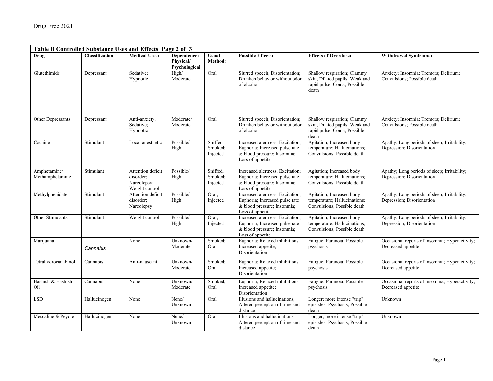| Table B Controlled Substance Uses and Effects Page 2 of 3 |                |                                                                 |                                           |                                 |                                                                                                                       |                                                                                                       |                                                                            |  |  |
|-----------------------------------------------------------|----------------|-----------------------------------------------------------------|-------------------------------------------|---------------------------------|-----------------------------------------------------------------------------------------------------------------------|-------------------------------------------------------------------------------------------------------|----------------------------------------------------------------------------|--|--|
| <b>Drug</b>                                               | Classification | <b>Medical Uses:</b>                                            | Dependence:<br>Physical/<br>Psychological | <b>Usual</b><br>Method:         | <b>Possible Effects:</b>                                                                                              | <b>Effects of Overdose:</b>                                                                           | <b>Withdrawal Syndrome:</b>                                                |  |  |
| Glutethimide                                              | Depressant     | Sedative;<br>Hypnotic                                           | High/<br>Moderate                         | Oral                            | Slurred speech; Disorientation;<br>Drunken behavior without odor<br>of alcohol                                        | Shallow respiration; Clammy<br>skin; Dilated pupils; Weak and<br>rapid pulse; Coma; Possible<br>death | Anxiety; Insomnia; Tremors; Delirium;<br>Convulsions; Possible death       |  |  |
| Other Depressants                                         | Depressant     | Anti-anxiety;<br>Sedative;<br>Hypnotic                          | Moderate/<br>Moderate                     | Oral                            | Slurred speech; Disorientation;<br>Drunken behavior without odor<br>of alcohol                                        | Shallow respiration; Clammy<br>skin; Dilated pupils; Weak and<br>rapid pulse; Coma; Possible<br>death | Anxiety; Insomnia; Tremors; Delirium;<br>Convulsions; Possible death       |  |  |
| Cocaine                                                   | Stimulant      | Local anesthetic                                                | Possible/<br>High                         | Sniffed:<br>Smoked;<br>Injected | Increased alertness; Excitation;<br>Euphoria; Increased pulse rate<br>& blood pressure; Insomnia;<br>Loss of appetite | Agitation; Increased body<br>temperature; Hallucinations;<br>Convulsions; Possible death              | Apathy; Long periods of sleep; Irritability;<br>Depression; Disorientation |  |  |
| Amphetamine/<br>Methamphetamine                           | Stimulant      | Attention deficit<br>disorder:<br>Narcolepsy;<br>Weight control | Possible/<br>High                         | Sniffed;<br>Smoked;<br>Injected | Increased alertness; Excitation;<br>Euphoria; Increased pulse rate<br>& blood pressure; Insomnia;<br>Loss of appetite | Agitation; Increased body<br>temperature; Hallucinations;<br>Convulsions; Possible death              | Apathy; Long periods of sleep; Irritability;<br>Depression; Disorientation |  |  |
| Methylphenidate                                           | Stimulant      | Attention deficit<br>disorder:<br>Narcolepsy                    | Possible/<br>High                         | Oral;<br>Injected               | Increased alertness; Excitation;<br>Euphoria; Increased pulse rate<br>& blood pressure; Insomnia;<br>Loss of appetite | Agitation; Increased body<br>temperature; Hallucinations;<br>Convulsions; Possible death              | Apathy; Long periods of sleep; Irritability;<br>Depression; Disorientation |  |  |
| Other Stimulants                                          | Stimulant      | Weight control                                                  | Possible/<br>High                         | Oral;<br>Injected               | Increased alertness; Excitation;<br>Euphoria; Increased pulse rate<br>& blood pressure; Insomnia;<br>Loss of appetite | Agitation; Increased body<br>temperature; Hallucinations;<br>Convulsions; Possible death              | Apathy; Long periods of sleep; Irritability;<br>Depression; Disorientation |  |  |
| Marijuana                                                 | Cannabis       | None                                                            | Unknown/<br>Moderate                      | Smoked;<br>Oral                 | Euphoria; Relaxed inhibitions;<br>Increased appetite;<br>Disorientation                                               | Fatigue; Paranoia; Possible<br>psychosis                                                              | Occasional reports of insomnia; Hyperactivity;<br>Decreased appetite       |  |  |
| Tetrahydrocanabinol                                       | Cannabis       | Anti-nauseant                                                   | Unknown/<br>Moderate                      | Smoked;<br>Oral                 | Euphoria; Relaxed inhibitions;<br>Increased appetite;<br>Disorientation                                               | Fatigue; Paranoia; Possible<br>psychosis                                                              | Occasional reports of insomnia; Hyperactivity;<br>Decreased appetite       |  |  |
| Hashish & Hashish<br>Oil                                  | Cannabis       | None                                                            | Unknown/<br>Moderate                      | Smoked:<br>Oral                 | Euphoria; Relaxed inhibitions;<br>Increased appetite;<br>Disorientation                                               | Fatigue; Paranoia; Possible<br>psychosis                                                              | Occasional reports of insomnia; Hyperactivity;<br>Decreased appetite       |  |  |
| <b>LSD</b>                                                | Hallucinogen   | None                                                            | None/<br>Unknown                          | Oral                            | Illusions and hallucinations;<br>Altered perception of time and<br>distance                                           | Longer; more intense "trip"<br>episodes; Psychosis; Possible<br>death                                 | Unknown                                                                    |  |  |
| Mescaline & Peyote                                        | Hallucinogen   | None                                                            | None/<br>Unknown                          | Oral                            | Illusions and hallucinations;<br>Altered perception of time and<br>distance                                           | Longer; more intense "trip"<br>episodes; Psychosis; Possible<br>death                                 | Unknown                                                                    |  |  |